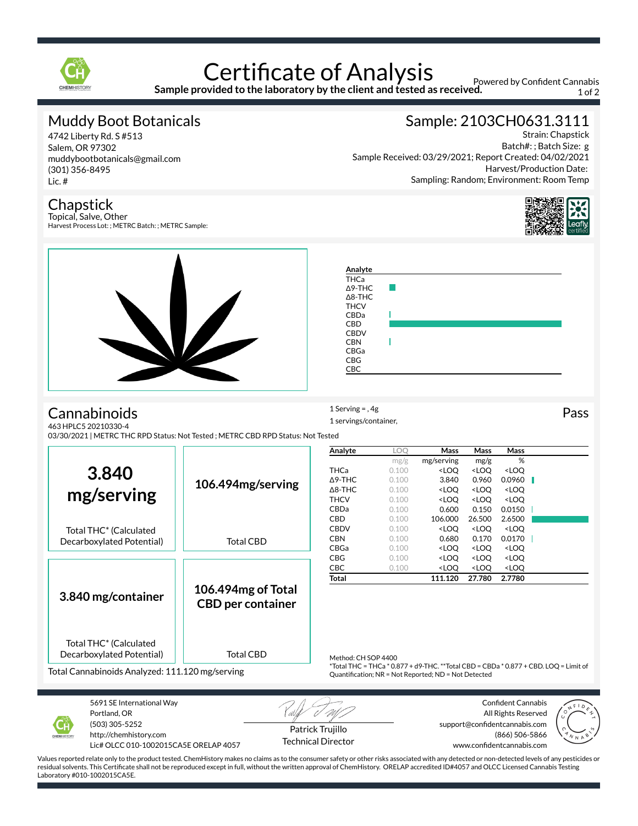

# **Certificate of Analysis**

**Sample provided to the laboratory by the client and tested as received.**

Powered by Confident Cannabis 1 of 2

### Muddy Boot Botanicals

4742 Liberty Rd. S #513 Salem, OR 97302 muddybootbotanicals@gmail.com (301) 356-8495 Lic. #

## Sample: 2103CH0631.3111

Strain: Chapstick Batch#: ; Batch Size: g Sample Received: 03/29/2021; Report Created: 04/02/2021 Harvest/Production Date: Sampling: Random; Environment: Room Temp

#### **Chapstick**

Topical, Salve, Other Harvest Process Lot: ; METRC Batch: ; METRC Sample:





Portland, OR (503) 305-5252 http://chemhistory.com Lic# OLCC 010-1002015CA5E ORELAP 4057

Patrick Trujillo Technical Director

All Rights Reserved support@confidentcannabis.com (866) 506-5866 www.confidentcannabis.com



Values reported relate only to the product tested. ChemHistory makes no claims as to the consumer safety or other risks associated with any detected or non-detected levels of any pesticides or residual solvents. This Certificate shall not be reproduced except in full, without the written approval of ChemHistory. ORELAP accredited ID#4057 and OLCC Licensed Cannabis Testing Laboratory #010-1002015CA5E.